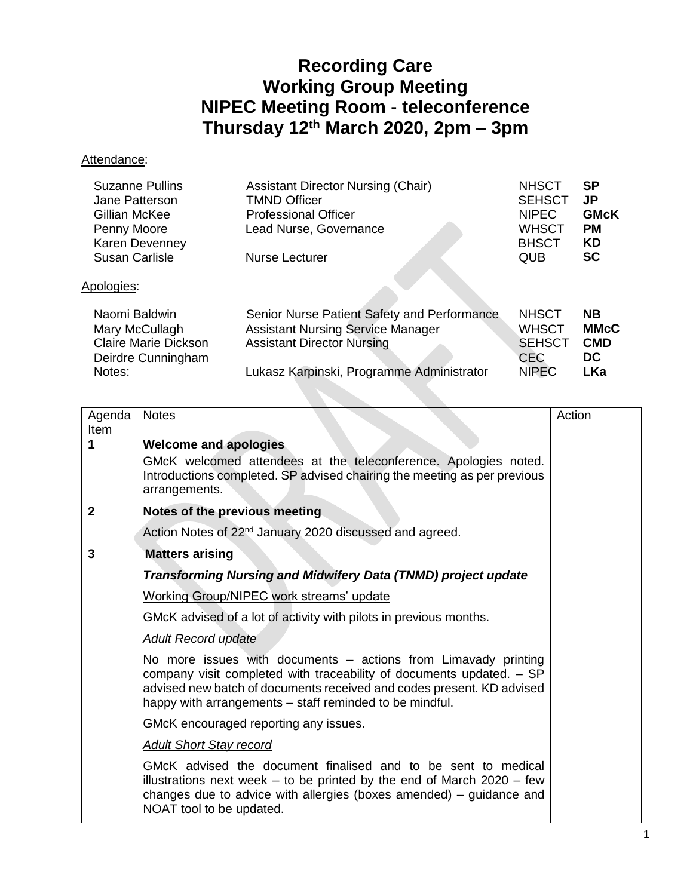## **Recording Care Working Group Meeting NIPEC Meeting Room - teleconference Thursday 12th March 2020, 2pm – 3pm**

## Attendance:

| <b>Suzanne Pullins</b><br>Jane Patterson<br>Gillian McKee<br>Penny Moore<br><b>Karen Devenney</b><br><b>Susan Carlisle</b> | <b>Assistant Director Nursing (Chair)</b><br><b>TMND Officer</b><br><b>Professional Officer</b><br>Lead Nurse, Governance<br>Nurse Lecturer                               | <b>NHSCT</b><br><b>SEHSCT</b><br><b>NIPEC</b><br><b>WHSCT</b><br><b>BHSCT</b><br><b>QUB</b> | <b>SP</b><br>JP.<br><b>GMcK</b><br><b>PM</b><br><b>KD</b><br><b>SC</b> |
|----------------------------------------------------------------------------------------------------------------------------|---------------------------------------------------------------------------------------------------------------------------------------------------------------------------|---------------------------------------------------------------------------------------------|------------------------------------------------------------------------|
| Apologies:                                                                                                                 |                                                                                                                                                                           |                                                                                             |                                                                        |
| Naomi Baldwin<br>Mary McCullagh<br><b>Claire Marie Dickson</b><br>Deirdre Cunningham<br>Notes:                             | Senior Nurse Patient Safety and Performance<br><b>Assistant Nursing Service Manager</b><br><b>Assistant Director Nursing</b><br>Lukasz Karpinski, Programme Administrator | <b>NHSCT</b><br><b>WHSCT</b><br><b>SEHSCT</b><br><b>CEC</b><br><b>NIPEC</b>                 | <b>NB</b><br><b>MMcC</b><br><b>CMD</b><br>DC<br><b>LKa</b>             |

| Agenda<br>Item | <b>Notes</b>                                                                                                                                                                                                                                                               | Action |
|----------------|----------------------------------------------------------------------------------------------------------------------------------------------------------------------------------------------------------------------------------------------------------------------------|--------|
| 1              | <b>Welcome and apologies</b><br>GMcK welcomed attendees at the teleconference. Apologies noted.<br>Introductions completed. SP advised chairing the meeting as per previous<br>arrangements.                                                                               |        |
| $\mathbf{2}$   | Notes of the previous meeting                                                                                                                                                                                                                                              |        |
|                | Action Notes of 22 <sup>nd</sup> January 2020 discussed and agreed.                                                                                                                                                                                                        |        |
| 3              | <b>Matters arising</b>                                                                                                                                                                                                                                                     |        |
|                | Transforming Nursing and Midwifery Data (TNMD) project update                                                                                                                                                                                                              |        |
|                | <b>Working Group/NIPEC work streams' update</b>                                                                                                                                                                                                                            |        |
|                | GMcK advised of a lot of activity with pilots in previous months.                                                                                                                                                                                                          |        |
|                | <b>Adult Record update</b>                                                                                                                                                                                                                                                 |        |
|                | No more issues with documents - actions from Limavady printing<br>company visit completed with traceability of documents updated. - SP<br>advised new batch of documents received and codes present. KD advised<br>happy with arrangements – staff reminded to be mindful. |        |
|                | GMcK encouraged reporting any issues.                                                                                                                                                                                                                                      |        |
|                | <b>Adult Short Stay record</b>                                                                                                                                                                                                                                             |        |
|                | GMcK advised the document finalised and to be sent to medical<br>illustrations next week $-$ to be printed by the end of March 2020 $-$ few<br>changes due to advice with allergies (boxes amended) – guidance and<br>NOAT tool to be updated.                             |        |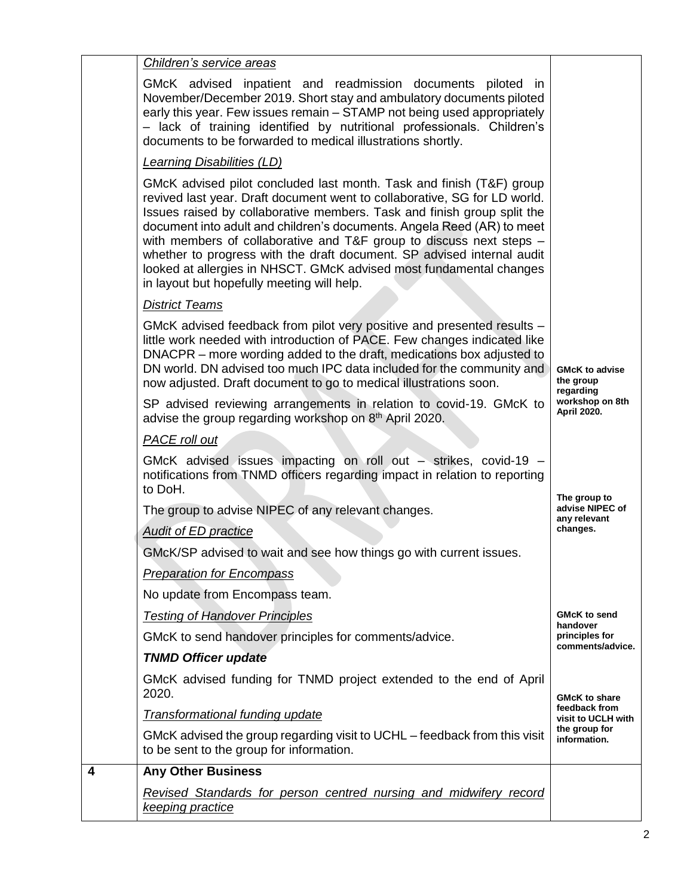|   | Children's service areas                                                                                                                                                                                                                                                                                                                                                                                                                                                                                                                                                     |                                                 |  |
|---|------------------------------------------------------------------------------------------------------------------------------------------------------------------------------------------------------------------------------------------------------------------------------------------------------------------------------------------------------------------------------------------------------------------------------------------------------------------------------------------------------------------------------------------------------------------------------|-------------------------------------------------|--|
|   | GMcK advised inpatient and readmission documents piloted in<br>November/December 2019. Short stay and ambulatory documents piloted<br>early this year. Few issues remain – STAMP not being used appropriately<br>- lack of training identified by nutritional professionals. Children's<br>documents to be forwarded to medical illustrations shortly.                                                                                                                                                                                                                       |                                                 |  |
|   | <b>Learning Disabilities (LD)</b>                                                                                                                                                                                                                                                                                                                                                                                                                                                                                                                                            |                                                 |  |
|   | GMcK advised pilot concluded last month. Task and finish (T&F) group<br>revived last year. Draft document went to collaborative, SG for LD world.<br>Issues raised by collaborative members. Task and finish group split the<br>document into adult and children's documents. Angela Reed (AR) to meet<br>with members of collaborative and T&F group to discuss next steps -<br>whether to progress with the draft document. SP advised internal audit<br>looked at allergies in NHSCT. GMcK advised most fundamental changes<br>in layout but hopefully meeting will help. |                                                 |  |
|   | <b>District Teams</b>                                                                                                                                                                                                                                                                                                                                                                                                                                                                                                                                                        |                                                 |  |
|   | GMcK advised feedback from pilot very positive and presented results -<br>little work needed with introduction of PACE. Few changes indicated like<br>DNACPR - more wording added to the draft, medications box adjusted to<br>DN world. DN advised too much IPC data included for the community and<br>now adjusted. Draft document to go to medical illustrations soon.                                                                                                                                                                                                    | <b>GMcK to advise</b><br>the group<br>regarding |  |
|   | SP advised reviewing arrangements in relation to covid-19. GMcK to<br>advise the group regarding workshop on 8 <sup>th</sup> April 2020.                                                                                                                                                                                                                                                                                                                                                                                                                                     | workshop on 8th<br><b>April 2020.</b>           |  |
|   | PACE roll out                                                                                                                                                                                                                                                                                                                                                                                                                                                                                                                                                                |                                                 |  |
|   | GMcK advised issues impacting on roll out - strikes, covid-19 -<br>notifications from TNMD officers regarding impact in relation to reporting<br>to DoH.                                                                                                                                                                                                                                                                                                                                                                                                                     |                                                 |  |
|   | The group to advise NIPEC of any relevant changes.                                                                                                                                                                                                                                                                                                                                                                                                                                                                                                                           | The group to<br>advise NIPEC of<br>any relevant |  |
|   | <b>Audit of ED practice</b>                                                                                                                                                                                                                                                                                                                                                                                                                                                                                                                                                  | changes.                                        |  |
|   | GMcK/SP advised to wait and see how things go with current issues.                                                                                                                                                                                                                                                                                                                                                                                                                                                                                                           |                                                 |  |
|   | <b>Preparation for Encompass</b>                                                                                                                                                                                                                                                                                                                                                                                                                                                                                                                                             |                                                 |  |
|   | No update from Encompass team.                                                                                                                                                                                                                                                                                                                                                                                                                                                                                                                                               |                                                 |  |
|   | <b>Testing of Handover Principles</b>                                                                                                                                                                                                                                                                                                                                                                                                                                                                                                                                        | <b>GMcK to send</b><br>handover                 |  |
|   | GMcK to send handover principles for comments/advice.                                                                                                                                                                                                                                                                                                                                                                                                                                                                                                                        | principles for<br>comments/advice.              |  |
|   | <b>TNMD Officer update</b>                                                                                                                                                                                                                                                                                                                                                                                                                                                                                                                                                   |                                                 |  |
|   | GMcK advised funding for TNMD project extended to the end of April<br>2020.                                                                                                                                                                                                                                                                                                                                                                                                                                                                                                  | <b>GMcK to share</b>                            |  |
|   | <b>Transformational funding update</b>                                                                                                                                                                                                                                                                                                                                                                                                                                                                                                                                       | feedback from<br>visit to UCLH with             |  |
|   | GMcK advised the group regarding visit to UCHL - feedback from this visit<br>to be sent to the group for information.                                                                                                                                                                                                                                                                                                                                                                                                                                                        | the group for<br>information.                   |  |
| 4 | <b>Any Other Business</b>                                                                                                                                                                                                                                                                                                                                                                                                                                                                                                                                                    |                                                 |  |
|   | Revised Standards for person centred nursing and midwifery record<br>keeping practice                                                                                                                                                                                                                                                                                                                                                                                                                                                                                        |                                                 |  |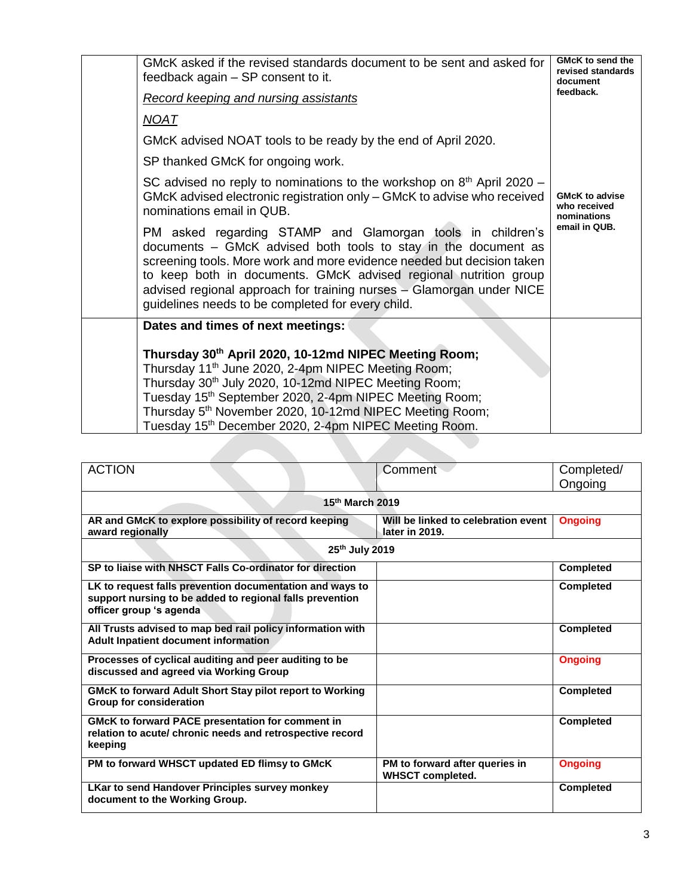| GMcK asked if the revised standards document to be sent and asked for<br>feedback again – SP consent to it.                                                                                                                                                                                                                                                                                             | <b>GMcK to send the</b><br>revised standards<br>document          |  |
|---------------------------------------------------------------------------------------------------------------------------------------------------------------------------------------------------------------------------------------------------------------------------------------------------------------------------------------------------------------------------------------------------------|-------------------------------------------------------------------|--|
| <b>Record keeping and nursing assistants</b>                                                                                                                                                                                                                                                                                                                                                            | feedback.                                                         |  |
| <u>NOAT</u>                                                                                                                                                                                                                                                                                                                                                                                             |                                                                   |  |
| GMcK advised NOAT tools to be ready by the end of April 2020.                                                                                                                                                                                                                                                                                                                                           |                                                                   |  |
| SP thanked GMcK for ongoing work.                                                                                                                                                                                                                                                                                                                                                                       |                                                                   |  |
| SC advised no reply to nominations to the workshop on $8th$ April 2020 –<br>GMcK advised electronic registration only – GMcK to advise who received<br>nominations email in QUB.                                                                                                                                                                                                                        | <b>GMcK to advise</b><br>who received<br>nominations              |  |
| PM asked regarding STAMP and Glamorgan tools in children's<br>documents – GMcK advised both tools to stay in the document as<br>screening tools. More work and more evidence needed but decision taken<br>to keep both in documents. GMcK advised regional nutrition group<br>advised regional approach for training nurses - Glamorgan under NICE<br>guidelines needs to be completed for every child. | email in QUB.                                                     |  |
| Dates and times of next meetings:                                                                                                                                                                                                                                                                                                                                                                       |                                                                   |  |
| Thursday 30th April 2020, 10-12md NIPEC Meeting Room;<br>Thursday 11 <sup>th</sup> June 2020, 2-4pm NIPEC Meeting Room;<br>Thursday 30 <sup>th</sup> July 2020, 10-12md NIPEC Meeting Room;<br>Tuesday 15 <sup>th</sup> September 2020, 2-4pm NIPEC Meeting Room;<br>Thursday 5 <sup>th</sup> November 2020, 10-12md NIPEC Meeting Room;                                                                |                                                                   |  |
|                                                                                                                                                                                                                                                                                                                                                                                                         | Tuesday 15 <sup>th</sup> December 2020, 2-4pm NIPEC Meeting Room. |  |

| <b>ACTION</b>                                                                                                                   | Comment                                                   | Completed/       |  |  |
|---------------------------------------------------------------------------------------------------------------------------------|-----------------------------------------------------------|------------------|--|--|
|                                                                                                                                 |                                                           | Ongoing          |  |  |
|                                                                                                                                 |                                                           |                  |  |  |
| 15th March 2019                                                                                                                 |                                                           |                  |  |  |
| AR and GMcK to explore possibility of record keeping                                                                            | Will be linked to celebration event                       | <b>Ongoing</b>   |  |  |
| award regionally                                                                                                                | later in 2019.                                            |                  |  |  |
| 25th July 2019                                                                                                                  |                                                           |                  |  |  |
| SP to liaise with NHSCT Falls Co-ordinator for direction                                                                        |                                                           | <b>Completed</b> |  |  |
| LK to request falls prevention documentation and ways to                                                                        |                                                           | <b>Completed</b> |  |  |
| support nursing to be added to regional falls prevention<br>officer group 's agenda                                             |                                                           |                  |  |  |
|                                                                                                                                 |                                                           |                  |  |  |
| All Trusts advised to map bed rail policy information with<br>Adult Inpatient document information                              |                                                           | <b>Completed</b> |  |  |
| Processes of cyclical auditing and peer auditing to be<br>discussed and agreed via Working Group                                |                                                           | <b>Ongoing</b>   |  |  |
| <b>GMcK to forward Adult Short Stay pilot report to Working</b><br><b>Group for consideration</b>                               |                                                           | <b>Completed</b> |  |  |
| <b>GMcK to forward PACE presentation for comment in</b><br>relation to acute/ chronic needs and retrospective record<br>keeping |                                                           | <b>Completed</b> |  |  |
| PM to forward WHSCT updated ED flimsy to GMcK                                                                                   | PM to forward after queries in<br><b>WHSCT completed.</b> | <b>Ongoing</b>   |  |  |
| <b>LKar to send Handover Principles survey monkey</b><br>document to the Working Group.                                         |                                                           | <b>Completed</b> |  |  |